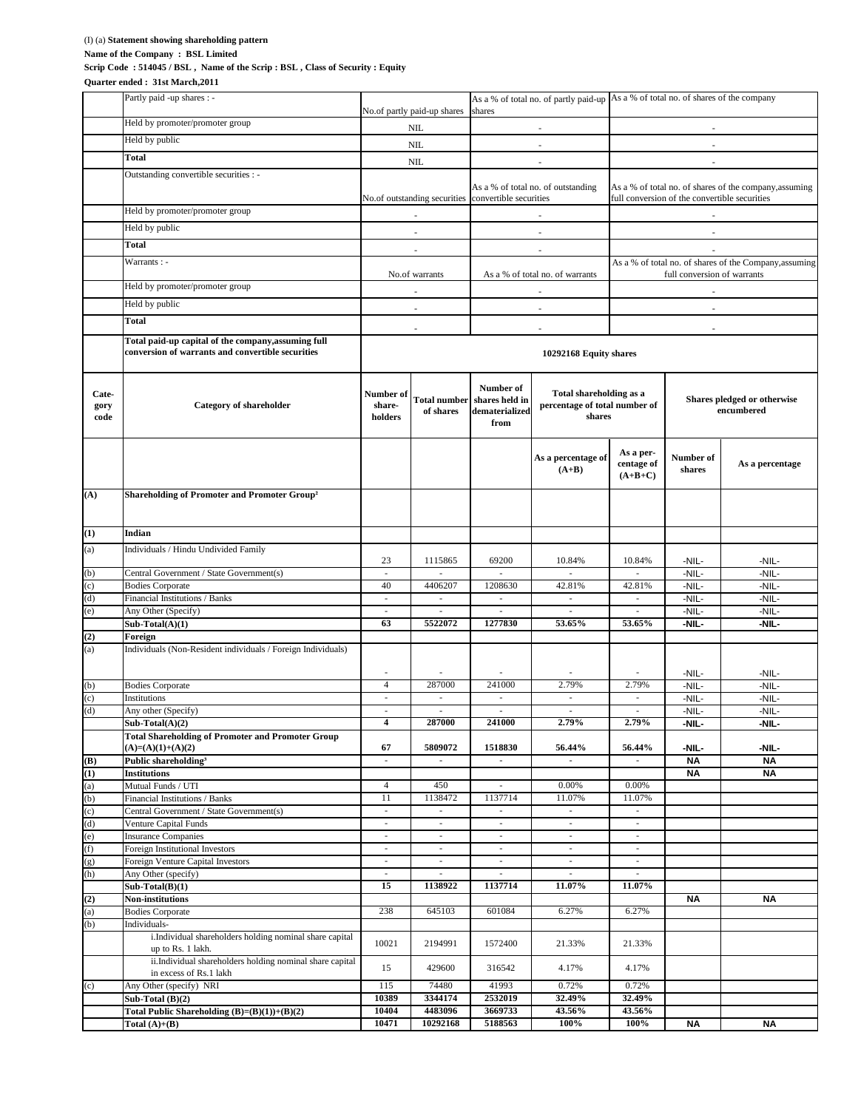## (I) (a) **Statement showing shareholding pattern**

**Name of the Company : BSL Limited**

**Quarter ended : 31st March,2011**

**Scrip Code :514045 / BSL , Name of the Scrip : BSL , Class of Security : Equity**

## Partly paid -up shares : - Held by promoter/promoter group Held by public **Total** Outstanding convertible securities : - Held by promoter/promoter group Held by public **Total** Warrants : - Held by promoter/promoter group Held by public **Total Total paid-up capital of the company,assuming full conversion of warrants and convertible securities Cate gory** Category<br> **code code code code code of share- of of shares of in** *share* **of** *share share share share share share share share share share share share* **dematerialized from As a percentage of (A+B) As a per centage** of **of shares (A+B+C) Number of shares As <sup>a</sup> percentage (A) Shareholding of Promoter and Promoter Group<sup>²</sup> (1) Indian** (a) Individuals / Hindu Undivided Family 23 | 1115865 | 69200 | 10.84% | 10.84% | -NIL- | -NIL-(b) Central Government / State Government(s) - - - - - -NIL- -NIL- (c) Bodies Corporate 2001 - All 40 4406207 1208630 42.81% 42.81% - NIL-(d) Financial Institutions / Banks - - - - - -NIL- -NIL- (e) Any Other (Specify) and the set of the set of the set of the set of the set of the set of the set of the set of the set of the set of the set of the set of the set of the set of the set of the set of the set of the set **Sub-Total(A)(1) 63 5522072 1277830 53.65% 53.65% -NIL- -NIL- (2) Foreign** (a) Individuals (Non-Resident individuals / Foreign Individuals) - | - | - | - | - | - | -NIL- | - NIL-(b) Bodies Corporate 2012 - 2012 - 2020 241000 2.79% 2.79% - 2.79% - NIL-(c) Institutions - - - - - -NIL- -NIL- (d) Any other (Specify) - - - - - -NIL- -NIL- **Sub-Total(A)(2) 4 287000 241000 2.79% 2.79% -NIL- -NIL- Total Shareholding of Promoter and Promoter Group (A)=(A)(1)+(A)(2) 67 5809072 1518830 56.44% 56.44% -NIL- -NIL- (B) Public shareholding<sup>³</sup>** - - - - - **NA NA (1) Institutions NA NA** (a) Mutual Funds / UTI  $\begin{array}{|c|c|c|c|c|c|c|c|c|} \hline \end{array}$  4 450 - 0.00% 0.00% 0.00% (b) Financial Institutions / Banks 11.07% 11.07% 11.07% 11.07% 11.07% 11.07% 11.07% 11.07% (c) Central Government / State Government(s) (d) Venture Capital Funds (e) Insurance Companies - - - - - (f) Foreign Institutional Investors (g) Foreign Venture Capital Investors  $(h)$  Any Other (specify) **Sub-Total(B)(1) 15 1138922 1137714 11.07% 11.07% (2) Non-institutions NA NA** (a) Bodies Corporate 238 645103 601084 6.27% 6.27% (b) Individualsi.Individual shareholders holding nominal share capital up to Rs. 1 lakh. 20021 2194991 1572400 21.33% 21.33% 21.33% ii.Individual shareholders holding nominal share capital in excess of Rs.1 lakh 15 429600 316542 4.17% 4.17% Any Other (specify) NRI 115 74480 41993 0.72% 0.72% **Sub-Total (B)(2) 10389 3344174 2532019 32.49% 32.49% Total Public Shareholding (B)=(B)(1))+(B)(2) 10404 4483096 3669733 43.56% 43.56% Total (A)+(B) 10471 10292168 5188563 100% 100% NA NA** - No. of partly paid-up shares As a % of total no. of partly paid-up  $\overline{A}$  a % of total no. of shares of the company shares shares - -  $NIL$   $-$ **Total shareholding as a percentage of total number of shares** - lo.of outstanding securities convertible securities **Shares pledged or otherwise encumbered** NIL. NIL. - - - As a % of total no. of outstanding As a % of total no. of shares of the company,assuming full conversion of the convertible securities - - - No.of warrants As a % of total no. of warrants As a % of total no. of warrants full conversion of warrants full conversion of warrants - - - - - - - - - **10292168 Equity shares** - - -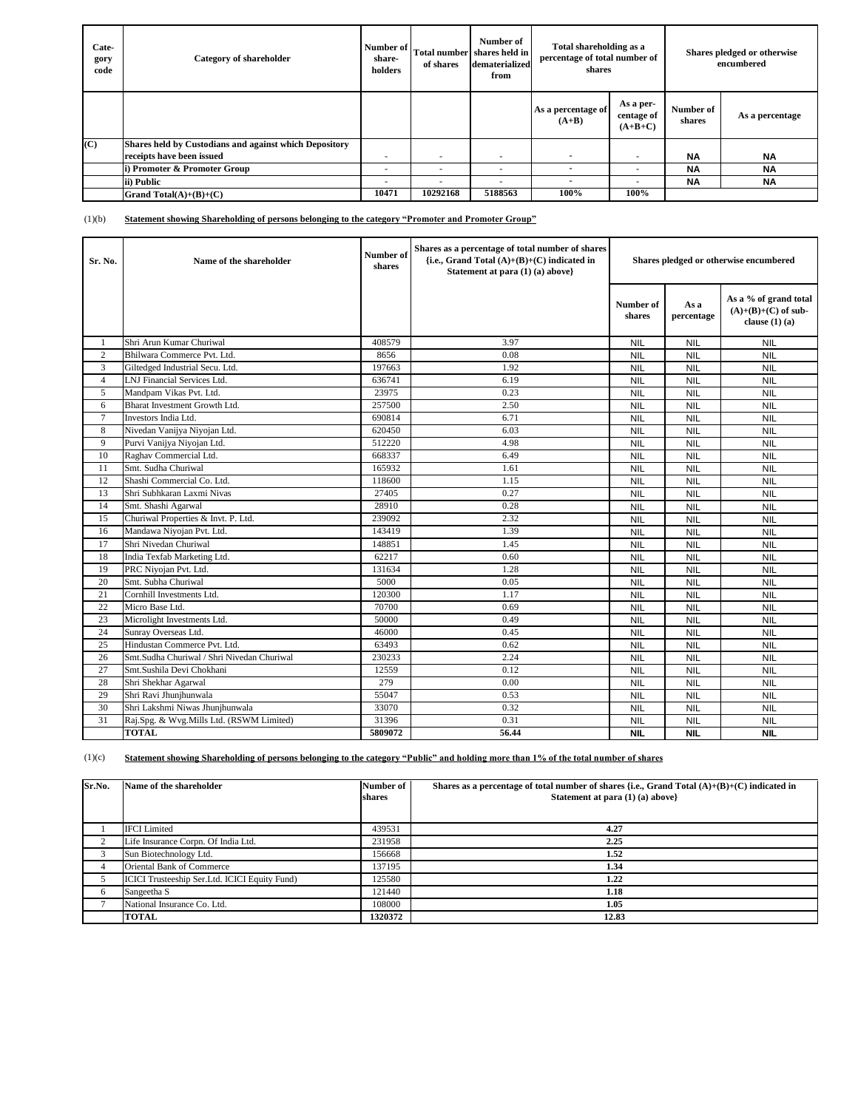| <b>Cate-</b><br>gory<br>code | <b>Category of shareholder</b>                                | Number of<br>share-<br>holders | of shares | Number of<br>Total number shares held in<br>dematerialized<br>from | Total shareholding as a<br>percentage of total number of<br>shares |                                      |                     | Shares pledged or otherwise<br>encumbered |
|------------------------------|---------------------------------------------------------------|--------------------------------|-----------|--------------------------------------------------------------------|--------------------------------------------------------------------|--------------------------------------|---------------------|-------------------------------------------|
|                              |                                                               |                                |           |                                                                    | As a percentage of<br>$(A+B)$                                      | As a per-<br>centage of<br>$(A+B+C)$ | Number of<br>shares | As a percentage                           |
| (C)                          | <b>Shares held by Custodians and against which Depository</b> |                                |           |                                                                    |                                                                    |                                      |                     |                                           |
|                              | receipts have been issued                                     | $\overline{\phantom{a}}$       |           |                                                                    |                                                                    | ۰                                    | <b>NA</b>           | <b>NA</b>                                 |
|                              | i) Promoter & Promoter Group                                  | ٠                              |           |                                                                    |                                                                    | ۰                                    | <b>NA</b>           | <b>NA</b>                                 |
|                              | ii) Public                                                    | ٠                              | ٠         | $\sim$                                                             |                                                                    | ۰                                    | <b>NA</b>           | <b>NA</b>                                 |
|                              | Grand Total $(A)+(B)+(C)$                                     | 10471                          | 10292168  | 5188563                                                            | 100%                                                               | 100%                                 |                     |                                           |

| Sr. No.        | Name of the shareholder                    | Number of<br>shares | Shares as a percentage of total number of shares<br>{i.e., Grand Total $(A)+(B)+(C)$ indicated in<br>Statement at para (1) (a) above} | Shares pledged or otherwise encumbered |                    |                                                                      |
|----------------|--------------------------------------------|---------------------|---------------------------------------------------------------------------------------------------------------------------------------|----------------------------------------|--------------------|----------------------------------------------------------------------|
|                |                                            |                     |                                                                                                                                       | Number of<br>shares                    | As a<br>percentage | As a % of grand total<br>$(A)+(B)+(C)$ of sub-<br>clause $(1)$ $(a)$ |
| 1              | Shri Arun Kumar Churiwal                   | 408579              | 3.97                                                                                                                                  | <b>NIL</b>                             | <b>NIL</b>         | <b>NIL</b>                                                           |
| 2              | Bhilwara Commerce Pvt. Ltd.                | 8656                | 0.08                                                                                                                                  | <b>NIL</b>                             | <b>NIL</b>         | <b>NIL</b>                                                           |
| 3              | Giltedged Industrial Secu. Ltd.            | 197663              | 1.92                                                                                                                                  | <b>NIL</b>                             | <b>NIL</b>         | <b>NIL</b>                                                           |
| $\overline{4}$ | LNJ Financial Services Ltd.                | 636741              | 6.19                                                                                                                                  | <b>NIL</b>                             | <b>NIL</b>         | <b>NIL</b>                                                           |
| 5              | Mandpam Vikas Pvt. Ltd.                    | 23975               | 0.23                                                                                                                                  | <b>NIL</b>                             | <b>NIL</b>         | <b>NIL</b>                                                           |
| 6              | Bharat Investment Growth Ltd.              | 257500              | 2.50                                                                                                                                  | <b>NIL</b>                             | <b>NIL</b>         | <b>NIL</b>                                                           |
| $\tau$         | Investors India Ltd.                       | 690814              | 6.71                                                                                                                                  | <b>NIL</b>                             | <b>NIL</b>         | <b>NIL</b>                                                           |
| 8              | Nivedan Vanijya Niyojan Ltd.               | 620450              | 6.03                                                                                                                                  | <b>NIL</b>                             | <b>NIL</b>         | <b>NIL</b>                                                           |
| 9              | Purvi Vanijya Niyojan Ltd.                 | 512220              | 4.98                                                                                                                                  | <b>NIL</b>                             | <b>NIL</b>         | <b>NIL</b>                                                           |
| 10             | Raghav Commercial Ltd.                     | 668337              | 6.49                                                                                                                                  | <b>NIL</b>                             | <b>NIL</b>         | <b>NIL</b>                                                           |
| 11             | Smt. Sudha Churiwal                        | 165932              | 1.61                                                                                                                                  | <b>NIL</b>                             | <b>NIL</b>         | <b>NIL</b>                                                           |
| 12             | Shashi Commercial Co. Ltd.                 | 118600              | 1.15                                                                                                                                  | <b>NIL</b>                             | <b>NIL</b>         | <b>NIL</b>                                                           |
| 13             | Shri Subhkaran Laxmi Nivas                 | 27405               | 0.27                                                                                                                                  | <b>NIL</b>                             | <b>NIL</b>         | <b>NIL</b>                                                           |
| 14             | Smt. Shashi Agarwal                        | 28910               | 0.28                                                                                                                                  | <b>NIL</b>                             | <b>NIL</b>         | <b>NIL</b>                                                           |
| 15             | Churiwal Properties & Invt. P. Ltd.        | 239092              | 2.32                                                                                                                                  | <b>NIL</b>                             | <b>NIL</b>         | <b>NIL</b>                                                           |
| 16             | Mandawa Niyojan Pvt. Ltd.                  | 143419              | 1.39                                                                                                                                  | <b>NIL</b>                             | <b>NIL</b>         | <b>NIL</b>                                                           |
| 17             | Shri Nivedan Churiwal                      | 148851              | 1.45                                                                                                                                  | <b>NIL</b>                             | <b>NIL</b>         | <b>NIL</b>                                                           |
| 18             | India Texfab Marketing Ltd.                | 62217               | 0.60                                                                                                                                  | <b>NIL</b>                             | <b>NIL</b>         | <b>NIL</b>                                                           |
| 19             | PRC Niyojan Pvt. Ltd.                      | 131634              | 1.28                                                                                                                                  | <b>NIL</b>                             | <b>NIL</b>         | <b>NIL</b>                                                           |
| 20             | Smt. Subha Churiwal                        | 5000                | 0.05                                                                                                                                  | <b>NIL</b>                             | <b>NIL</b>         | <b>NIL</b>                                                           |
| 21             | Cornhill Investments Ltd.                  | 120300              | 1.17                                                                                                                                  | <b>NIL</b>                             | <b>NIL</b>         | <b>NIL</b>                                                           |
| 22             | Micro Base Ltd.                            | 70700               | 0.69                                                                                                                                  | <b>NIL</b>                             | <b>NIL</b>         | <b>NIL</b>                                                           |
| 23             | Microlight Investments Ltd.                | 50000               | 0.49                                                                                                                                  | <b>NIL</b>                             | <b>NIL</b>         | <b>NIL</b>                                                           |
| 24             | Sunray Overseas Ltd.                       | 46000               | 0.45                                                                                                                                  | <b>NIL</b>                             | <b>NIL</b>         | <b>NIL</b>                                                           |
| 25             | Hindustan Commerce Pvt. Ltd.               | 63493               | 0.62                                                                                                                                  | <b>NIL</b>                             | <b>NIL</b>         | <b>NIL</b>                                                           |
| 26             | Smt.Sudha Churiwal / Shri Nivedan Churiwal | 230233              | 2.24                                                                                                                                  | <b>NIL</b>                             | <b>NIL</b>         | <b>NIL</b>                                                           |
| 27             | Smt.Sushila Devi Chokhani                  | 12559               | 0.12                                                                                                                                  | <b>NIL</b>                             | <b>NIL</b>         | <b>NIL</b>                                                           |
| 28             | Shri Shekhar Agarwal                       | 279                 | 0.00                                                                                                                                  | <b>NIL</b>                             | <b>NIL</b>         | <b>NIL</b>                                                           |
| 29             | Shri Ravi Jhunihunwala                     | 55047               | 0.53                                                                                                                                  | <b>NIL</b>                             | <b>NIL</b>         | <b>NIL</b>                                                           |
| 30             | Shri Lakshmi Niwas Jhunjhunwala            | 33070               | 0.32                                                                                                                                  | <b>NIL</b>                             | <b>NIL</b>         | <b>NIL</b>                                                           |
| 31             | Raj.Spg. & Wvg.Mills Ltd. (RSWM Limited)   | 31396               | 0.31                                                                                                                                  | <b>NIL</b>                             | <b>NIL</b>         | <b>NIL</b>                                                           |
|                | <b>TOTAL</b>                               | 5809072             | 56.44                                                                                                                                 | <b>NIL</b>                             | <b>NIL</b>         | <b>NIL</b>                                                           |

| Sr.No. | Name of the shareholder                       | Number of | Shares as a percentage of total number of shares {i.e., Grand Total $(A)+(B)+(C)$ indicated in |
|--------|-----------------------------------------------|-----------|------------------------------------------------------------------------------------------------|
|        |                                               | shares    | Statement at para (1) (a) above}                                                               |
|        |                                               |           |                                                                                                |
|        | <b>IFCI</b> Limited                           | 439531    | 4.27                                                                                           |
|        | Life Insurance Corpn. Of India Ltd.           | 231958    | 2.25                                                                                           |
| 3      | Sun Biotechnology Ltd.                        | 156668    | 1.52                                                                                           |
|        | Oriental Bank of Commerce                     | 137195    | 1.34                                                                                           |
|        | ICICI Trusteeship Ser.Ltd. ICICI Equity Fund) | 125580    | 1.22                                                                                           |
| 6      | Sangeetha S                                   | 121440    | 1.18                                                                                           |
|        | National Insurance Co. Ltd.                   | 108000    | 1.05                                                                                           |
|        | <b>TOTAL</b>                                  | 1320372   | 12.83                                                                                          |